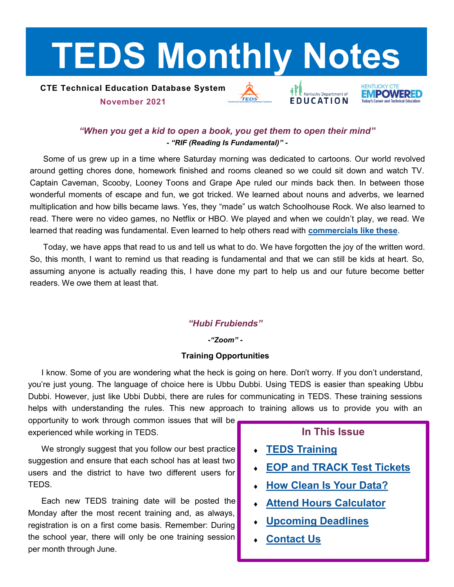# <span id="page-0-0"></span>**TEDS Monthly Notes**

## **CTE Technical Education Database System November 2021**



Kentucky Department of



# *"When you get a kid to open a book, you get them to open their mind" - "RIF (Reading Is Fundamental)" -*

Some of us grew up in a time where Saturday morning was dedicated to cartoons. Our world revolved around getting chores done, homework finished and rooms cleaned so we could sit down and watch TV. Captain Caveman, Scooby, Looney Toons and Grape Ape ruled our minds back then. In between those wonderful moments of escape and fun, we got tricked. We learned about nouns and adverbs, we learned multiplication and how bills became laws. Yes, they "made" us watch Schoolhouse Rock. We also learned to read. There were no video games, no Netflix or HBO. We played and when we couldn't play, we read. We learned that reading was fundamental. Even learned to help others read with **[commercials like these](https://www.youtube.com/watch?v=qwH01ual7KI)**.

Today, we have apps that read to us and tell us what to do. We have forgotten the joy of the written word. So, this month, I want to remind us that reading is fundamental and that we can still be kids at heart. So, assuming anyone is actually reading this, I have done my part to help us and our future become better readers. We owe them at least that.

## *"Hubi Frubiends"*

#### *-"Zoom" -*

## **Training Opportunities**

I know. Some of you are wondering what the heck is going on here. Don't worry. If you don't understand, you're just young. The language of choice here is Ubbu Dubbi. Using TEDS is easier than speaking Ubbu Dubbi. However, just like Ubbi Dubbi, there are rules for communicating in TEDS. These training sessions helps with understanding the rules. This new approach to training allows us to provide you with an

opportunity to work through common issues that will be experienced while working in TEDS.

We strongly suggest that you follow our best practice suggestion and ensure that each school has at least two users and the district to have two different users for TEDS.

Each new TEDS training date will be posted the Monday after the most recent training and, as always, registration is on a first come basis. Remember: During the school year, there will only be one training session per month through June.

# **In This Issue**

- **[TEDS Training](#page-0-0)**
- **[EOP and TRACK Test Tickets](#page-1-0)**
- **[How Clean Is Your Data?](#page-1-0)**
- **[Attend Hours Calculator](#page-2-0)**
- **[Upcoming Deadlines](#page-2-0)**
- **[Contact Us](#page-2-0)**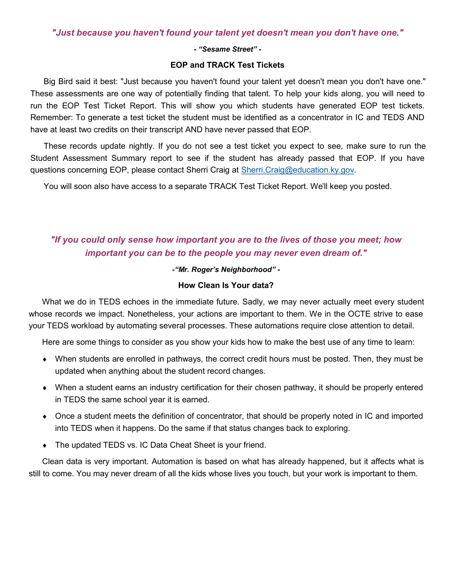### <span id="page-1-0"></span>*"Just because you haven't found your talent yet doesn't mean you don't have one."*

#### *- "Sesame Street" -*

#### **EOP and TRACK Test Tickets**

Big Bird said it best: "Just because you haven't found your talent yet doesn't mean you don't have one." These assessments are one way of potentially finding that talent. To help your kids along, you will need to run the EOP Test Ticket Report. This will show you which students have generated EOP test tickets. Remember: To generate a test ticket the student must be identified as a concentrator in IC and TEDS AND have at least two credits on their transcript AND have never passed that EOP.

These records update nightly. If you do not see a test ticket you expect to see, make sure to run the Student Assessment Summary report to see if the student has already passed that EOP. If you have questions concerning EOP, please contact Sherri Craig at [Sherri.Craig@education.ky.gov.](mailto:Sherri.Craig@education.ky.gov)

You will soon also have access to a separate TRACK Test Ticket Report. We'll keep you posted.

# *"If you could only sense how important you are to the lives of those you meet; how important you can be to the people you may never even dream of."*

#### *-"Mr. Roger's Neighborhood" -*

#### **How Clean Is Your data?**

What we do in TEDS echoes in the immediate future. Sadly, we may never actually meet every student whose records we impact. Nonetheless, your actions are important to them. We in the OCTE strive to ease your TEDS workload by automating several processes. These automations require close attention to detail.

Here are some things to consider as you show your kids how to make the best use of any time to learn:

- When students are enrolled in pathways, the correct credit hours must be posted. Then, they must be updated when anything about the student record changes.
- When a student earns an industry certification for their chosen pathway, it should be properly entered in TEDS the same school year it is earned.
- Once a student meets the definition of concentrator, that should be properly noted in IC and imported into TEDS when it happens. Do the same if that status changes back to exploring.
- The updated TEDS vs. IC Data Cheat Sheet is your friend.

Clean data is very important. Automation is based on what has already happened, but it affects what is still to come. You may never dream of all the kids whose lives you touch, but your work is important to them.